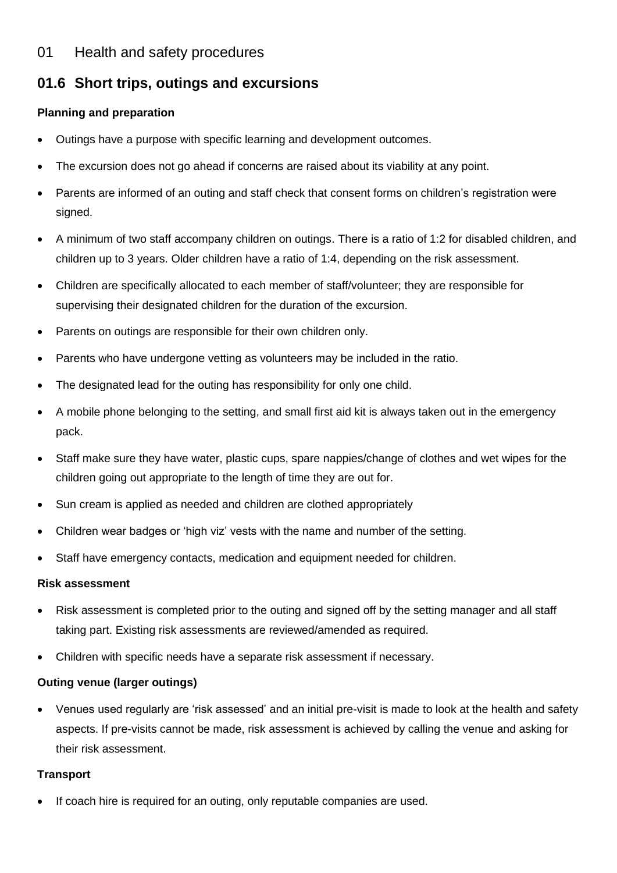# **01.6 Short trips, outings and excursions**

# **Planning and preparation**

- Outings have a purpose with specific learning and development outcomes.
- The excursion does not go ahead if concerns are raised about its viability at any point.
- Parents are informed of an outing and staff check that consent forms on children's registration were signed.
- A minimum of two staff accompany children on outings. There is a ratio of 1:2 for disabled children, and children up to 3 years. Older children have a ratio of 1:4, depending on the risk assessment.
- Children are specifically allocated to each member of staff/volunteer; they are responsible for supervising their designated children for the duration of the excursion.
- Parents on outings are responsible for their own children only.
- Parents who have undergone vetting as volunteers may be included in the ratio.
- The designated lead for the outing has responsibility for only one child.
- A mobile phone belonging to the setting, and small first aid kit is always taken out in the emergency pack.
- Staff make sure they have water, plastic cups, spare nappies/change of clothes and wet wipes for the children going out appropriate to the length of time they are out for.
- Sun cream is applied as needed and children are clothed appropriately
- Children wear badges or 'high viz' vests with the name and number of the setting.
- Staff have emergency contacts, medication and equipment needed for children.

## **Risk assessment**

- Risk assessment is completed prior to the outing and signed off by the setting manager and all staff taking part. Existing risk assessments are reviewed/amended as required.
- Children with specific needs have a separate risk assessment if necessary.

## **Outing venue (larger outings)**

• Venues used regularly are 'risk assessed' and an initial pre-visit is made to look at the health and safety aspects. If pre-visits cannot be made, risk assessment is achieved by calling the venue and asking for their risk assessment.

## **Transport**

If coach hire is required for an outing, only reputable companies are used.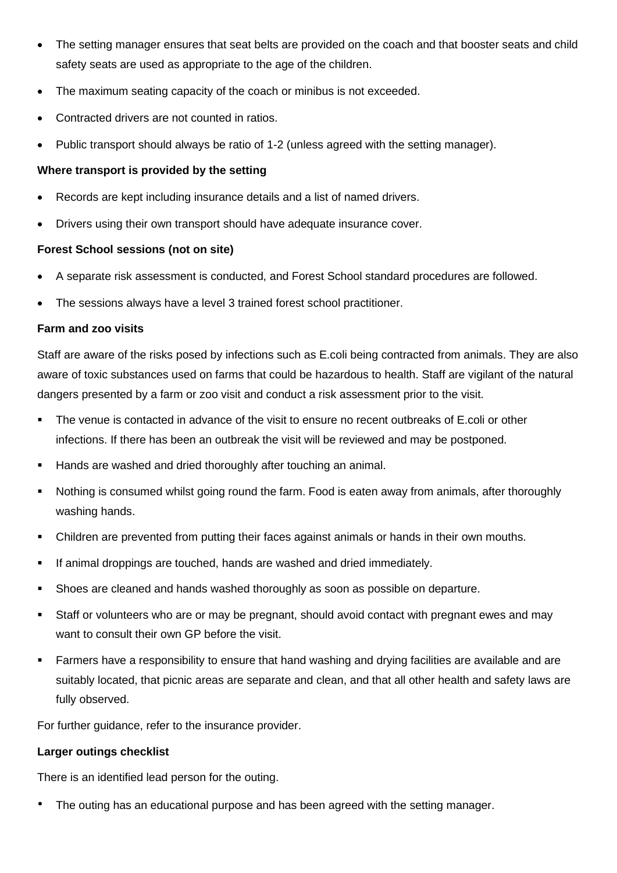- The setting manager ensures that seat belts are provided on the coach and that booster seats and child safety seats are used as appropriate to the age of the children.
- The maximum seating capacity of the coach or minibus is not exceeded.
- Contracted drivers are not counted in ratios.
- Public transport should always be ratio of 1-2 (unless agreed with the setting manager).

## **Where transport is provided by the setting**

- Records are kept including insurance details and a list of named drivers.
- Drivers using their own transport should have adequate insurance cover.

### **Forest School sessions (not on site)**

- A separate risk assessment is conducted, and Forest School standard procedures are followed.
- The sessions always have a level 3 trained forest school practitioner.

#### **Farm and zoo visits**

Staff are aware of the risks posed by infections such as E.coli being contracted from animals. They are also aware of toxic substances used on farms that could be hazardous to health. Staff are vigilant of the natural dangers presented by a farm or zoo visit and conduct a risk assessment prior to the visit.

- The venue is contacted in advance of the visit to ensure no recent outbreaks of E.coli or other infections. If there has been an outbreak the visit will be reviewed and may be postponed.
- Hands are washed and dried thoroughly after touching an animal.
- Nothing is consumed whilst going round the farm. Food is eaten away from animals, after thoroughly washing hands.
- **•** Children are prevented from putting their faces against animals or hands in their own mouths.
- **EXECT** If animal droppings are touched, hands are washed and dried immediately.
- **EXECTS** Shoes are cleaned and hands washed thoroughly as soon as possible on departure.
- Staff or volunteers who are or may be pregnant, should avoid contact with pregnant ewes and may want to consult their own GP before the visit.
- Farmers have a responsibility to ensure that hand washing and drying facilities are available and are suitably located, that picnic areas are separate and clean, and that all other health and safety laws are fully observed.

For further guidance, refer to the insurance provider.

#### **Larger outings checklist**

There is an identified lead person for the outing.

• The outing has an educational purpose and has been agreed with the setting manager.